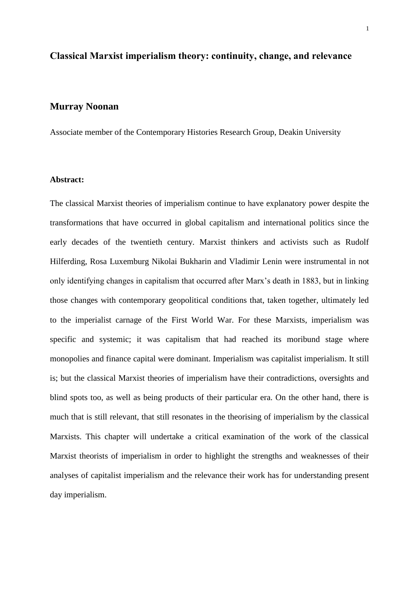# **Classical Marxist imperialism theory: continuity, change, and relevance**

# **Murray Noonan**

Associate member of the Contemporary Histories Research Group, Deakin University

#### **Abstract:**

The classical Marxist theories of imperialism continue to have explanatory power despite the transformations that have occurred in global capitalism and international politics since the early decades of the twentieth century. Marxist thinkers and activists such as Rudolf Hilferding, Rosa Luxemburg Nikolai Bukharin and Vladimir Lenin were instrumental in not only identifying changes in capitalism that occurred after Marx's death in 1883, but in linking those changes with contemporary geopolitical conditions that, taken together, ultimately led to the imperialist carnage of the First World War. For these Marxists, imperialism was specific and systemic; it was capitalism that had reached its moribund stage where monopolies and finance capital were dominant. Imperialism was capitalist imperialism. It still is; but the classical Marxist theories of imperialism have their contradictions, oversights and blind spots too, as well as being products of their particular era. On the other hand, there is much that is still relevant, that still resonates in the theorising of imperialism by the classical Marxists. This chapter will undertake a critical examination of the work of the classical Marxist theorists of imperialism in order to highlight the strengths and weaknesses of their analyses of capitalist imperialism and the relevance their work has for understanding present day imperialism.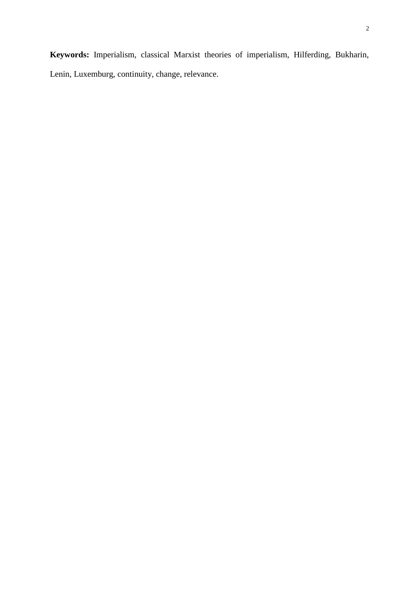**Keywords:** Imperialism, classical Marxist theories of imperialism, Hilferding, Bukharin, Lenin, Luxemburg, continuity, change, relevance.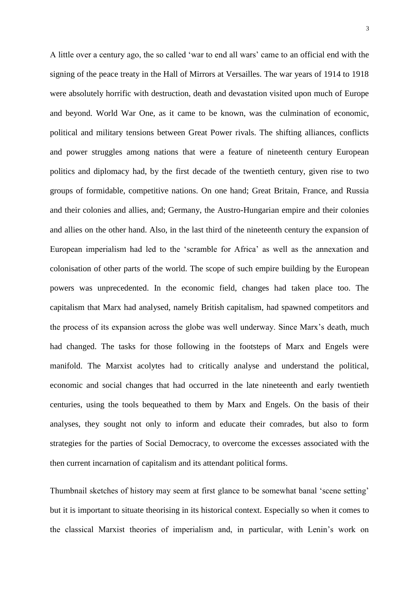A little over a century ago, the so called 'war to end all wars' came to an official end with the signing of the peace treaty in the Hall of Mirrors at Versailles. The war years of 1914 to 1918 were absolutely horrific with destruction, death and devastation visited upon much of Europe and beyond. World War One, as it came to be known, was the culmination of economic, political and military tensions between Great Power rivals. The shifting alliances, conflicts and power struggles among nations that were a feature of nineteenth century European politics and diplomacy had, by the first decade of the twentieth century, given rise to two groups of formidable, competitive nations. On one hand; Great Britain, France, and Russia and their colonies and allies, and; Germany, the Austro-Hungarian empire and their colonies and allies on the other hand. Also, in the last third of the nineteenth century the expansion of European imperialism had led to the 'scramble for Africa' as well as the annexation and colonisation of other parts of the world. The scope of such empire building by the European powers was unprecedented. In the economic field, changes had taken place too. The capitalism that Marx had analysed, namely British capitalism, had spawned competitors and the process of its expansion across the globe was well underway. Since Marx's death, much had changed. The tasks for those following in the footsteps of Marx and Engels were manifold. The Marxist acolytes had to critically analyse and understand the political, economic and social changes that had occurred in the late nineteenth and early twentieth centuries, using the tools bequeathed to them by Marx and Engels. On the basis of their analyses, they sought not only to inform and educate their comrades, but also to form strategies for the parties of Social Democracy, to overcome the excesses associated with the then current incarnation of capitalism and its attendant political forms.

Thumbnail sketches of history may seem at first glance to be somewhat banal 'scene setting' but it is important to situate theorising in its historical context. Especially so when it comes to the classical Marxist theories of imperialism and, in particular, with Lenin's work on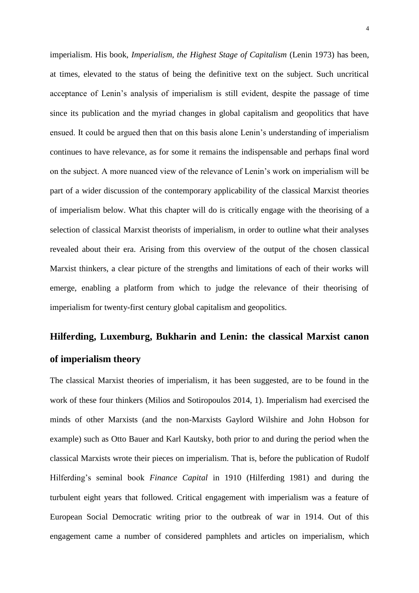imperialism. His book, *Imperialism, the Highest Stage of Capitalism* (Lenin 1973) has been, at times, elevated to the status of being the definitive text on the subject. Such uncritical acceptance of Lenin's analysis of imperialism is still evident, despite the passage of time since its publication and the myriad changes in global capitalism and geopolitics that have ensued. It could be argued then that on this basis alone Lenin's understanding of imperialism continues to have relevance, as for some it remains the indispensable and perhaps final word on the subject. A more nuanced view of the relevance of Lenin's work on imperialism will be part of a wider discussion of the contemporary applicability of the classical Marxist theories of imperialism below. What this chapter will do is critically engage with the theorising of a selection of classical Marxist theorists of imperialism, in order to outline what their analyses revealed about their era. Arising from this overview of the output of the chosen classical Marxist thinkers, a clear picture of the strengths and limitations of each of their works will emerge, enabling a platform from which to judge the relevance of their theorising of imperialism for twenty-first century global capitalism and geopolitics.

# **Hilferding, Luxemburg, Bukharin and Lenin: the classical Marxist canon of imperialism theory**

The classical Marxist theories of imperialism, it has been suggested, are to be found in the work of these four thinkers (Milios and Sotiropoulos 2014, 1). Imperialism had exercised the minds of other Marxists (and the non-Marxists Gaylord Wilshire and John Hobson for example) such as Otto Bauer and Karl Kautsky, both prior to and during the period when the classical Marxists wrote their pieces on imperialism. That is, before the publication of Rudolf Hilferding's seminal book *Finance Capital* in 1910 (Hilferding 1981) and during the turbulent eight years that followed. Critical engagement with imperialism was a feature of European Social Democratic writing prior to the outbreak of war in 1914. Out of this engagement came a number of considered pamphlets and articles on imperialism, which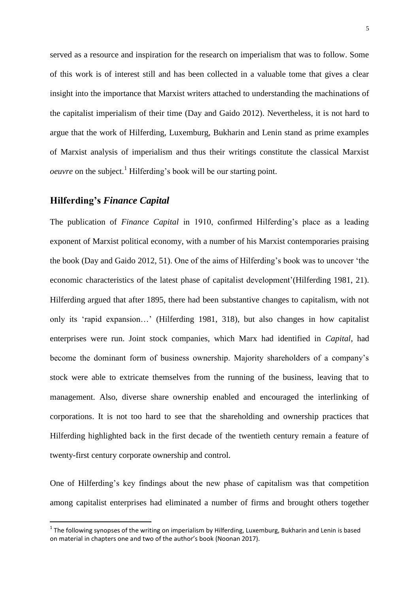served as a resource and inspiration for the research on imperialism that was to follow. Some of this work is of interest still and has been collected in a valuable tome that gives a clear insight into the importance that Marxist writers attached to understanding the machinations of the capitalist imperialism of their time (Day and Gaido 2012). Nevertheless, it is not hard to argue that the work of Hilferding, Luxemburg, Bukharin and Lenin stand as prime examples of Marxist analysis of imperialism and thus their writings constitute the classical Marxist *oeuvre* on the subject.<sup>1</sup> Hilferding's book will be our starting point.

## **Hilferding's** *Finance Capital*

 $\overline{a}$ 

The publication of *Finance Capital* in 1910, confirmed Hilferding's place as a leading exponent of Marxist political economy, with a number of his Marxist contemporaries praising the book (Day and Gaido 2012, 51). One of the aims of Hilferding's book was to uncover 'the economic characteristics of the latest phase of capitalist development'(Hilferding 1981, 21). Hilferding argued that after 1895, there had been substantive changes to capitalism, with not only its 'rapid expansion…' (Hilferding 1981, 318), but also changes in how capitalist enterprises were run. Joint stock companies, which Marx had identified in *Capital*, had become the dominant form of business ownership. Majority shareholders of a company's stock were able to extricate themselves from the running of the business, leaving that to management. Also, diverse share ownership enabled and encouraged the interlinking of corporations. It is not too hard to see that the shareholding and ownership practices that Hilferding highlighted back in the first decade of the twentieth century remain a feature of twenty-first century corporate ownership and control.

One of Hilferding's key findings about the new phase of capitalism was that competition among capitalist enterprises had eliminated a number of firms and brought others together

 $^1$  The following synopses of the writing on imperialism by Hilferding, Luxemburg, Bukharin and Lenin is based on material in chapters one and two of the author's book (Noonan 2017).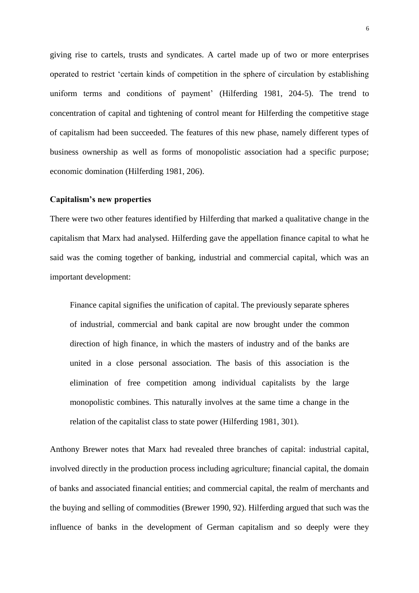giving rise to cartels, trusts and syndicates. A cartel made up of two or more enterprises operated to restrict 'certain kinds of competition in the sphere of circulation by establishing uniform terms and conditions of payment' (Hilferding 1981, 204-5). The trend to concentration of capital and tightening of control meant for Hilferding the competitive stage of capitalism had been succeeded. The features of this new phase, namely different types of business ownership as well as forms of monopolistic association had a specific purpose; economic domination (Hilferding 1981, 206).

## **Capitalism's new properties**

There were two other features identified by Hilferding that marked a qualitative change in the capitalism that Marx had analysed. Hilferding gave the appellation finance capital to what he said was the coming together of banking, industrial and commercial capital, which was an important development:

Finance capital signifies the unification of capital. The previously separate spheres of industrial, commercial and bank capital are now brought under the common direction of high finance, in which the masters of industry and of the banks are united in a close personal association. The basis of this association is the elimination of free competition among individual capitalists by the large monopolistic combines. This naturally involves at the same time a change in the relation of the capitalist class to state power (Hilferding 1981, 301).

Anthony Brewer notes that Marx had revealed three branches of capital: industrial capital, involved directly in the production process including agriculture; financial capital, the domain of banks and associated financial entities; and commercial capital, the realm of merchants and the buying and selling of commodities (Brewer 1990, 92). Hilferding argued that such was the influence of banks in the development of German capitalism and so deeply were they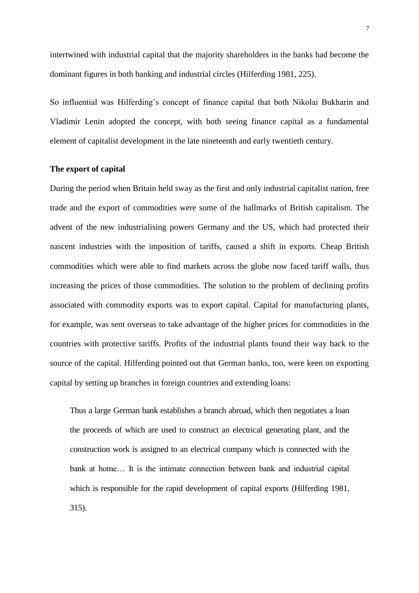intertwined with industrial capital that the majority shareholders in the banks had become the dominant figures in both banking and industrial circles (Hilferding 1981, 225).

So influential was Hilferding's concept of finance capital that both Nikolai Bukharin and Vladimir Lenin adopted the concept, with both seeing finance capital as a fundamental element of capitalist development in the late nineteenth and early twentieth century.

## **The export of capital**

During the period when Britain held sway as the first and only industrial capitalist nation, free trade and the export of commodities were some of the hallmarks of British capitalism. The advent of the new industrialising powers Germany and the US, which had protected their nascent industries with the imposition of tariffs, caused a shift in exports. Cheap British commodities which were able to find markets across the globe now faced tariff walls, thus increasing the prices of those commodities. The solution to the problem of declining profits associated with commodity exports was to export capital. Capital for manufacturing plants, for example, was sent overseas to take advantage of the higher prices for commodities in the countries with protective tariffs. Profits of the industrial plants found their way back to the source of the capital. Hilferding pointed out that German banks, too, were keen on exporting capital by setting up branches in foreign countries and extending loans:

Thus a large German bank establishes a branch abroad, which then negotiates a loan the proceeds of which are used to construct an electrical generating plant, and the construction work is assigned to an electrical company which is connected with the bank at home… It is the intimate connection between bank and industrial capital which is responsible for the rapid development of capital exports (Hilferding 1981, 315).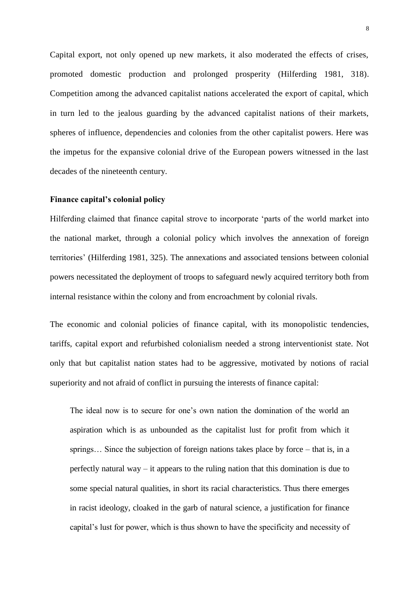Capital export, not only opened up new markets, it also moderated the effects of crises, promoted domestic production and prolonged prosperity (Hilferding 1981, 318). Competition among the advanced capitalist nations accelerated the export of capital, which in turn led to the jealous guarding by the advanced capitalist nations of their markets, spheres of influence, dependencies and colonies from the other capitalist powers. Here was the impetus for the expansive colonial drive of the European powers witnessed in the last decades of the nineteenth century.

## **Finance capital's colonial policy**

Hilferding claimed that finance capital strove to incorporate 'parts of the world market into the national market, through a colonial policy which involves the annexation of foreign territories' (Hilferding 1981, 325). The annexations and associated tensions between colonial powers necessitated the deployment of troops to safeguard newly acquired territory both from internal resistance within the colony and from encroachment by colonial rivals.

The economic and colonial policies of finance capital, with its monopolistic tendencies, tariffs, capital export and refurbished colonialism needed a strong interventionist state. Not only that but capitalist nation states had to be aggressive, motivated by notions of racial superiority and not afraid of conflict in pursuing the interests of finance capital:

The ideal now is to secure for one's own nation the domination of the world an aspiration which is as unbounded as the capitalist lust for profit from which it springs… Since the subjection of foreign nations takes place by force – that is, in a perfectly natural way – it appears to the ruling nation that this domination is due to some special natural qualities, in short its racial characteristics. Thus there emerges in racist ideology, cloaked in the garb of natural science, a justification for finance capital's lust for power, which is thus shown to have the specificity and necessity of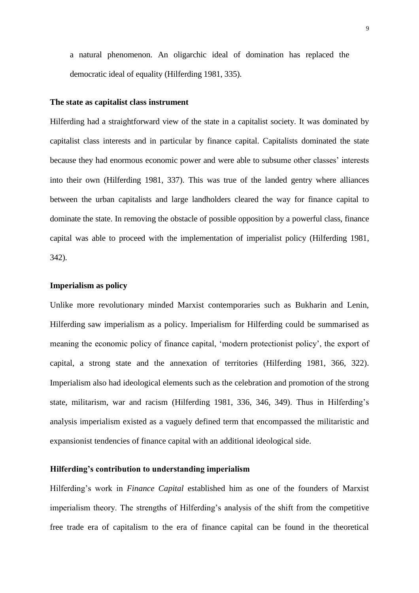a natural phenomenon. An oligarchic ideal of domination has replaced the democratic ideal of equality (Hilferding 1981, 335).

#### **The state as capitalist class instrument**

Hilferding had a straightforward view of the state in a capitalist society. It was dominated by capitalist class interests and in particular by finance capital. Capitalists dominated the state because they had enormous economic power and were able to subsume other classes' interests into their own (Hilferding 1981, 337). This was true of the landed gentry where alliances between the urban capitalists and large landholders cleared the way for finance capital to dominate the state. In removing the obstacle of possible opposition by a powerful class, finance capital was able to proceed with the implementation of imperialist policy (Hilferding 1981, 342).

## **Imperialism as policy**

Unlike more revolutionary minded Marxist contemporaries such as Bukharin and Lenin, Hilferding saw imperialism as a policy. Imperialism for Hilferding could be summarised as meaning the economic policy of finance capital, 'modern protectionist policy', the export of capital, a strong state and the annexation of territories (Hilferding 1981, 366, 322). Imperialism also had ideological elements such as the celebration and promotion of the strong state, militarism, war and racism (Hilferding 1981, 336, 346, 349). Thus in Hilferding's analysis imperialism existed as a vaguely defined term that encompassed the militaristic and expansionist tendencies of finance capital with an additional ideological side.

## **Hilferding's contribution to understanding imperialism**

Hilferding's work in *Finance Capital* established him as one of the founders of Marxist imperialism theory. The strengths of Hilferding's analysis of the shift from the competitive free trade era of capitalism to the era of finance capital can be found in the theoretical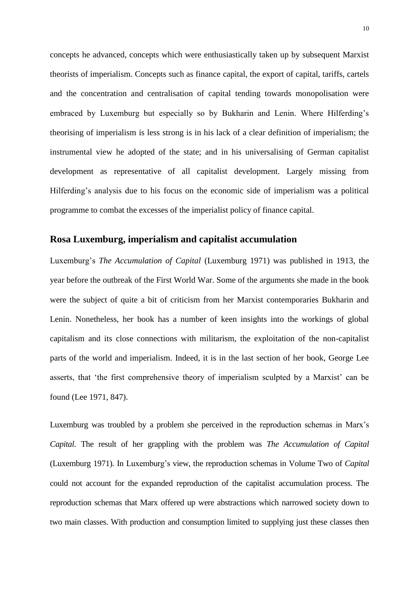concepts he advanced, concepts which were enthusiastically taken up by subsequent Marxist theorists of imperialism. Concepts such as finance capital, the export of capital, tariffs, cartels and the concentration and centralisation of capital tending towards monopolisation were embraced by Luxemburg but especially so by Bukharin and Lenin. Where Hilferding's theorising of imperialism is less strong is in his lack of a clear definition of imperialism; the instrumental view he adopted of the state; and in his universalising of German capitalist development as representative of all capitalist development. Largely missing from Hilferding's analysis due to his focus on the economic side of imperialism was a political programme to combat the excesses of the imperialist policy of finance capital.

## **Rosa Luxemburg, imperialism and capitalist accumulation**

Luxemburg's *The Accumulation of Capital* (Luxemburg 1971) was published in 1913, the year before the outbreak of the First World War. Some of the arguments she made in the book were the subject of quite a bit of criticism from her Marxist contemporaries Bukharin and Lenin. Nonetheless, her book has a number of keen insights into the workings of global capitalism and its close connections with militarism, the exploitation of the non-capitalist parts of the world and imperialism. Indeed, it is in the last section of her book, George Lee asserts, that 'the first comprehensive theory of imperialism sculpted by a Marxist' can be found (Lee 1971, 847).

Luxemburg was troubled by a problem she perceived in the reproduction schemas in Marx's *Capital.* The result of her grappling with the problem was *The Accumulation of Capital*  (Luxemburg 1971)*.* In Luxemburg's view, the reproduction schemas in Volume Two of *Capital*  could not account for the expanded reproduction of the capitalist accumulation process. The reproduction schemas that Marx offered up were abstractions which narrowed society down to two main classes. With production and consumption limited to supplying just these classes then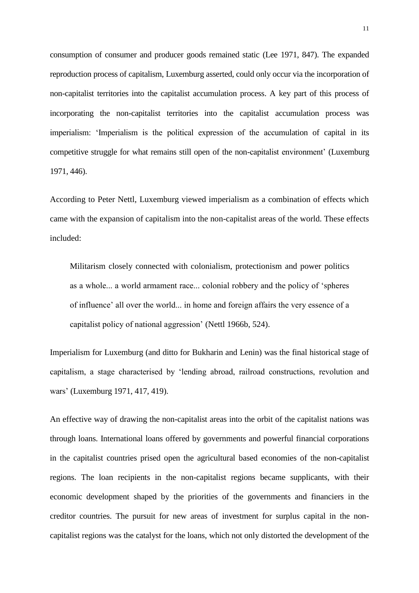consumption of consumer and producer goods remained static (Lee 1971, 847). The expanded reproduction process of capitalism, Luxemburg asserted, could only occur via the incorporation of non-capitalist territories into the capitalist accumulation process. A key part of this process of incorporating the non-capitalist territories into the capitalist accumulation process was imperialism: 'Imperialism is the political expression of the accumulation of capital in its competitive struggle for what remains still open of the non-capitalist environment' (Luxemburg 1971, 446).

According to Peter Nettl, Luxemburg viewed imperialism as a combination of effects which came with the expansion of capitalism into the non-capitalist areas of the world. These effects included:

Militarism closely connected with colonialism, protectionism and power politics as a whole... a world armament race... colonial robbery and the policy of 'spheres of influence' all over the world... in home and foreign affairs the very essence of a capitalist policy of national aggression' (Nettl 1966b, 524).

Imperialism for Luxemburg (and ditto for Bukharin and Lenin) was the final historical stage of capitalism, a stage characterised by 'lending abroad, railroad constructions, revolution and wars' (Luxemburg 1971, 417, 419).

An effective way of drawing the non-capitalist areas into the orbit of the capitalist nations was through loans. International loans offered by governments and powerful financial corporations in the capitalist countries prised open the agricultural based economies of the non-capitalist regions. The loan recipients in the non-capitalist regions became supplicants, with their economic development shaped by the priorities of the governments and financiers in the creditor countries. The pursuit for new areas of investment for surplus capital in the noncapitalist regions was the catalyst for the loans, which not only distorted the development of the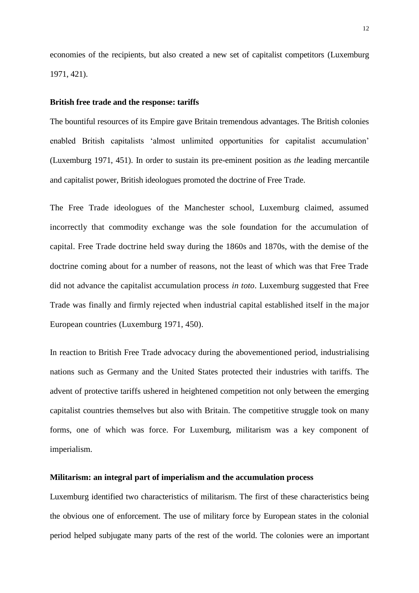economies of the recipients, but also created a new set of capitalist competitors (Luxemburg 1971, 421).

#### **British free trade and the response: tariffs**

The bountiful resources of its Empire gave Britain tremendous advantages. The British colonies enabled British capitalists 'almost unlimited opportunities for capitalist accumulation' (Luxemburg 1971, 451). In order to sustain its pre-eminent position as *the* leading mercantile and capitalist power, British ideologues promoted the doctrine of Free Trade.

The Free Trade ideologues of the Manchester school, Luxemburg claimed, assumed incorrectly that commodity exchange was the sole foundation for the accumulation of capital. Free Trade doctrine held sway during the 1860s and 1870s, with the demise of the doctrine coming about for a number of reasons, not the least of which was that Free Trade did not advance the capitalist accumulation process *in toto*. Luxemburg suggested that Free Trade was finally and firmly rejected when industrial capital established itself in the major European countries (Luxemburg 1971, 450).

In reaction to British Free Trade advocacy during the abovementioned period, industrialising nations such as Germany and the United States protected their industries with tariffs. The advent of protective tariffs ushered in heightened competition not only between the emerging capitalist countries themselves but also with Britain. The competitive struggle took on many forms, one of which was force. For Luxemburg, militarism was a key component of imperialism.

## **Militarism: an integral part of imperialism and the accumulation process**

Luxemburg identified two characteristics of militarism. The first of these characteristics being the obvious one of enforcement. The use of military force by European states in the colonial period helped subjugate many parts of the rest of the world. The colonies were an important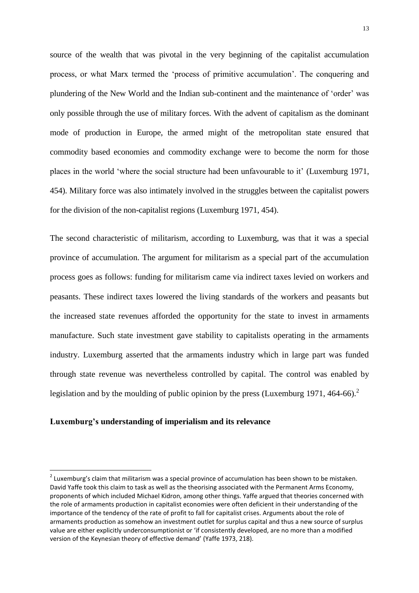source of the wealth that was pivotal in the very beginning of the capitalist accumulation process, or what Marx termed the 'process of primitive accumulation'. The conquering and plundering of the New World and the Indian sub-continent and the maintenance of 'order' was only possible through the use of military forces. With the advent of capitalism as the dominant mode of production in Europe, the armed might of the metropolitan state ensured that commodity based economies and commodity exchange were to become the norm for those places in the world 'where the social structure had been unfavourable to it' (Luxemburg 1971, 454). Military force was also intimately involved in the struggles between the capitalist powers for the division of the non-capitalist regions (Luxemburg 1971, 454).

The second characteristic of militarism, according to Luxemburg, was that it was a special province of accumulation. The argument for militarism as a special part of the accumulation process goes as follows: funding for militarism came via indirect taxes levied on workers and peasants. These indirect taxes lowered the living standards of the workers and peasants but the increased state revenues afforded the opportunity for the state to invest in armaments manufacture. Such state investment gave stability to capitalists operating in the armaments industry. Luxemburg asserted that the armaments industry which in large part was funded through state revenue was nevertheless controlled by capital. The control was enabled by legislation and by the moulding of public opinion by the press (Luxemburg 1971, 464-66).<sup>2</sup>

## **Luxemburg's understanding of imperialism and its relevance**

 $\overline{a}$ 

 $^{2}$  Luxemburg's claim that militarism was a special province of accumulation has been shown to be mistaken. David Yaffe took this claim to task as well as the theorising associated with the Permanent Arms Economy, proponents of which included Michael Kidron, among other things. Yaffe argued that theories concerned with the role of armaments production in capitalist economies were often deficient in their understanding of the importance of the tendency of the rate of profit to fall for capitalist crises. Arguments about the role of armaments production as somehow an investment outlet for surplus capital and thus a new source of surplus value are either explicitly underconsumptionist or 'if consistently developed, are no more than a modified version of the Keynesian theory of effective demand' (Yaffe 1973, 218).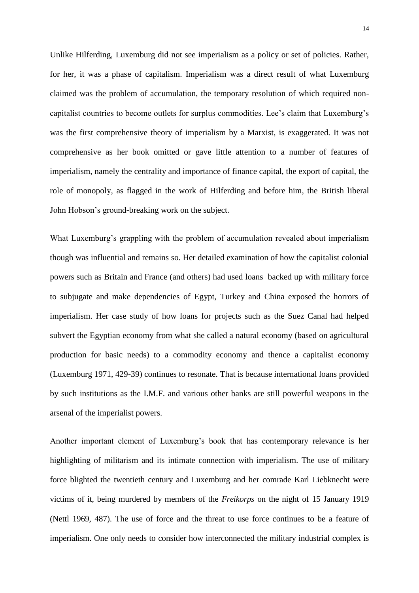Unlike Hilferding, Luxemburg did not see imperialism as a policy or set of policies. Rather, for her, it was a phase of capitalism. Imperialism was a direct result of what Luxemburg claimed was the problem of accumulation, the temporary resolution of which required noncapitalist countries to become outlets for surplus commodities. Lee's claim that Luxemburg's was the first comprehensive theory of imperialism by a Marxist, is exaggerated. It was not comprehensive as her book omitted or gave little attention to a number of features of imperialism, namely the centrality and importance of finance capital, the export of capital, the role of monopoly, as flagged in the work of Hilferding and before him, the British liberal John Hobson's ground-breaking work on the subject.

What Luxemburg's grappling with the problem of accumulation revealed about imperialism though was influential and remains so. Her detailed examination of how the capitalist colonial powers such as Britain and France (and others) had used loans backed up with military force to subjugate and make dependencies of Egypt, Turkey and China exposed the horrors of imperialism. Her case study of how loans for projects such as the Suez Canal had helped subvert the Egyptian economy from what she called a natural economy (based on agricultural production for basic needs) to a commodity economy and thence a capitalist economy (Luxemburg 1971, 429-39) continues to resonate. That is because international loans provided by such institutions as the I.M.F. and various other banks are still powerful weapons in the arsenal of the imperialist powers.

Another important element of Luxemburg's book that has contemporary relevance is her highlighting of militarism and its intimate connection with imperialism. The use of military force blighted the twentieth century and Luxemburg and her comrade Karl Liebknecht were victims of it, being murdered by members of the *Freikorps* on the night of 15 January 1919 (Nettl 1969, 487). The use of force and the threat to use force continues to be a feature of imperialism. One only needs to consider how interconnected the military industrial complex is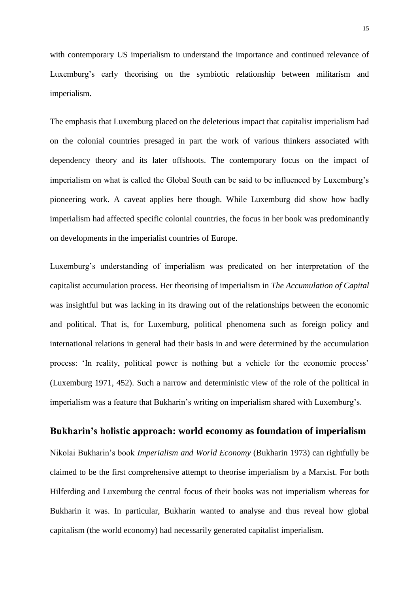with contemporary US imperialism to understand the importance and continued relevance of Luxemburg's early theorising on the symbiotic relationship between militarism and imperialism.

The emphasis that Luxemburg placed on the deleterious impact that capitalist imperialism had on the colonial countries presaged in part the work of various thinkers associated with dependency theory and its later offshoots. The contemporary focus on the impact of imperialism on what is called the Global South can be said to be influenced by Luxemburg's pioneering work. A caveat applies here though. While Luxemburg did show how badly imperialism had affected specific colonial countries, the focus in her book was predominantly on developments in the imperialist countries of Europe.

Luxemburg's understanding of imperialism was predicated on her interpretation of the capitalist accumulation process. Her theorising of imperialism in *The Accumulation of Capital*  was insightful but was lacking in its drawing out of the relationships between the economic and political. That is, for Luxemburg, political phenomena such as foreign policy and international relations in general had their basis in and were determined by the accumulation process: 'In reality, political power is nothing but a vehicle for the economic process' (Luxemburg 1971, 452). Such a narrow and deterministic view of the role of the political in imperialism was a feature that Bukharin's writing on imperialism shared with Luxemburg's.

## **Bukharin's holistic approach: world economy as foundation of imperialism**

Nikolai Bukharin's book *Imperialism and World Economy* (Bukharin 1973) can rightfully be claimed to be the first comprehensive attempt to theorise imperialism by a Marxist. For both Hilferding and Luxemburg the central focus of their books was not imperialism whereas for Bukharin it was. In particular, Bukharin wanted to analyse and thus reveal how global capitalism (the world economy) had necessarily generated capitalist imperialism.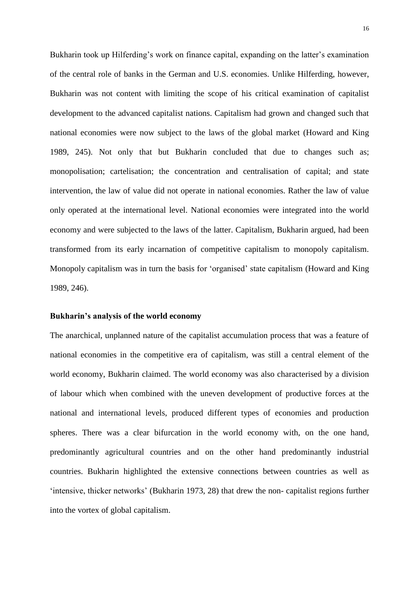Bukharin took up Hilferding's work on finance capital, expanding on the latter's examination of the central role of banks in the German and U.S. economies. Unlike Hilferding, however, Bukharin was not content with limiting the scope of his critical examination of capitalist development to the advanced capitalist nations. Capitalism had grown and changed such that national economies were now subject to the laws of the global market (Howard and King 1989, 245). Not only that but Bukharin concluded that due to changes such as; monopolisation; cartelisation; the concentration and centralisation of capital; and state intervention, the law of value did not operate in national economies. Rather the law of value only operated at the international level. National economies were integrated into the world economy and were subjected to the laws of the latter. Capitalism, Bukharin argued, had been transformed from its early incarnation of competitive capitalism to monopoly capitalism. Monopoly capitalism was in turn the basis for 'organised' state capitalism (Howard and King 1989, 246).

## **Bukharin's analysis of the world economy**

The anarchical, unplanned nature of the capitalist accumulation process that was a feature of national economies in the competitive era of capitalism, was still a central element of the world economy, Bukharin claimed. The world economy was also characterised by a division of labour which when combined with the uneven development of productive forces at the national and international levels, produced different types of economies and production spheres. There was a clear bifurcation in the world economy with, on the one hand, predominantly agricultural countries and on the other hand predominantly industrial countries. Bukharin highlighted the extensive connections between countries as well as 'intensive, thicker networks' (Bukharin 1973, 28) that drew the non- capitalist regions further into the vortex of global capitalism.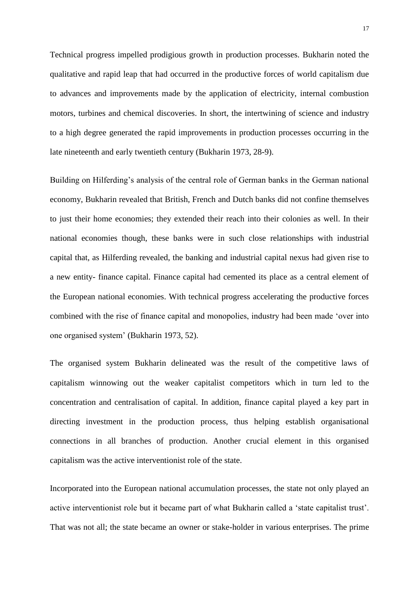Technical progress impelled prodigious growth in production processes. Bukharin noted the qualitative and rapid leap that had occurred in the productive forces of world capitalism due to advances and improvements made by the application of electricity, internal combustion motors, turbines and chemical discoveries. In short, the intertwining of science and industry to a high degree generated the rapid improvements in production processes occurring in the late nineteenth and early twentieth century (Bukharin 1973, 28-9).

Building on Hilferding's analysis of the central role of German banks in the German national economy, Bukharin revealed that British, French and Dutch banks did not confine themselves to just their home economies; they extended their reach into their colonies as well. In their national economies though, these banks were in such close relationships with industrial capital that, as Hilferding revealed, the banking and industrial capital nexus had given rise to a new entity- finance capital. Finance capital had cemented its place as a central element of the European national economies. With technical progress accelerating the productive forces combined with the rise of finance capital and monopolies, industry had been made 'over into one organised system' (Bukharin 1973, 52).

The organised system Bukharin delineated was the result of the competitive laws of capitalism winnowing out the weaker capitalist competitors which in turn led to the concentration and centralisation of capital. In addition, finance capital played a key part in directing investment in the production process, thus helping establish organisational connections in all branches of production. Another crucial element in this organised capitalism was the active interventionist role of the state.

Incorporated into the European national accumulation processes, the state not only played an active interventionist role but it became part of what Bukharin called a 'state capitalist trust'. That was not all; the state became an owner or stake-holder in various enterprises. The prime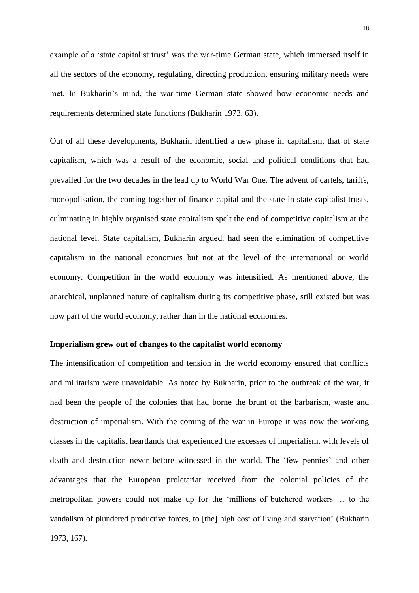example of a 'state capitalist trust' was the war-time German state, which immersed itself in all the sectors of the economy, regulating, directing production, ensuring military needs were met. In Bukharin's mind, the war-time German state showed how economic needs and requirements determined state functions (Bukharin 1973, 63).

Out of all these developments, Bukharin identified a new phase in capitalism, that of state capitalism, which was a result of the economic, social and political conditions that had prevailed for the two decades in the lead up to World War One. The advent of cartels, tariffs, monopolisation, the coming together of finance capital and the state in state capitalist trusts, culminating in highly organised state capitalism spelt the end of competitive capitalism at the national level. State capitalism, Bukharin argued, had seen the elimination of competitive capitalism in the national economies but not at the level of the international or world economy. Competition in the world economy was intensified. As mentioned above, the anarchical, unplanned nature of capitalism during its competitive phase, still existed but was now part of the world economy, rather than in the national economies.

## **Imperialism grew out of changes to the capitalist world economy**

The intensification of competition and tension in the world economy ensured that conflicts and militarism were unavoidable. As noted by Bukharin, prior to the outbreak of the war, it had been the people of the colonies that had borne the brunt of the barbarism, waste and destruction of imperialism. With the coming of the war in Europe it was now the working classes in the capitalist heartlands that experienced the excesses of imperialism, with levels of death and destruction never before witnessed in the world. The 'few pennies' and other advantages that the European proletariat received from the colonial policies of the metropolitan powers could not make up for the 'millions of butchered workers … to the vandalism of plundered productive forces, to [the] high cost of living and starvation' (Bukharin 1973, 167).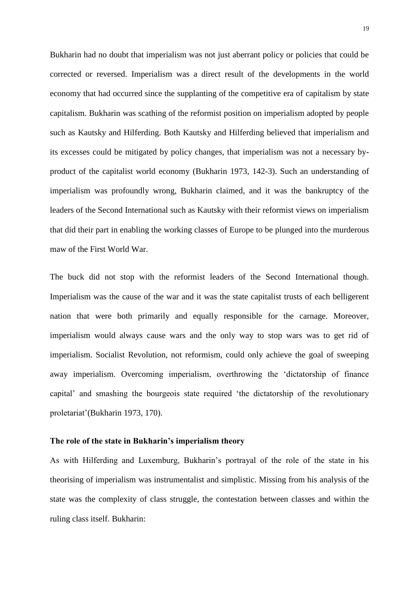Bukharin had no doubt that imperialism was not just aberrant policy or policies that could be corrected or reversed. Imperialism was a direct result of the developments in the world economy that had occurred since the supplanting of the competitive era of capitalism by state capitalism. Bukharin was scathing of the reformist position on imperialism adopted by people such as Kautsky and Hilferding. Both Kautsky and Hilferding believed that imperialism and its excesses could be mitigated by policy changes, that imperialism was not a necessary byproduct of the capitalist world economy (Bukharin 1973, 142-3). Such an understanding of imperialism was profoundly wrong, Bukharin claimed, and it was the bankruptcy of the leaders of the Second International such as Kautsky with their reformist views on imperialism that did their part in enabling the working classes of Europe to be plunged into the murderous maw of the First World War.

The buck did not stop with the reformist leaders of the Second International though. Imperialism was the cause of the war and it was the state capitalist trusts of each belligerent nation that were both primarily and equally responsible for the carnage. Moreover, imperialism would always cause wars and the only way to stop wars was to get rid of imperialism. Socialist Revolution, not reformism, could only achieve the goal of sweeping away imperialism. Overcoming imperialism, overthrowing the 'dictatorship of finance capital' and smashing the bourgeois state required 'the dictatorship of the revolutionary proletariat'(Bukharin 1973, 170).

#### **The role of the state in Bukharin's imperialism theory**

As with Hilferding and Luxemburg, Bukharin's portrayal of the role of the state in his theorising of imperialism was instrumentalist and simplistic. Missing from his analysis of the state was the complexity of class struggle, the contestation between classes and within the ruling class itself. Bukharin: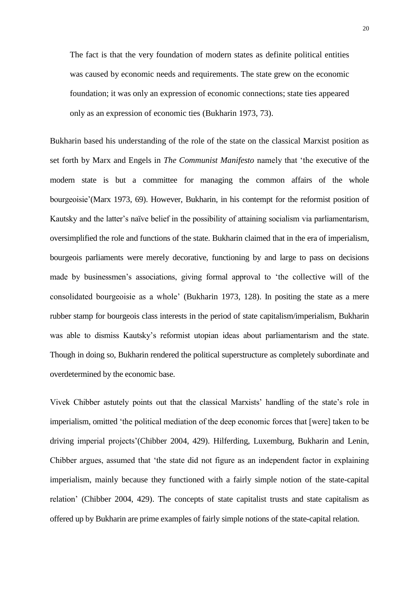The fact is that the very foundation of modern states as definite political entities was caused by economic needs and requirements. The state grew on the economic foundation; it was only an expression of economic connections; state ties appeared only as an expression of economic ties (Bukharin 1973, 73).

Bukharin based his understanding of the role of the state on the classical Marxist position as set forth by Marx and Engels in *The Communist Manifesto* namely that 'the executive of the modern state is but a committee for managing the common affairs of the whole bourgeoisie'(Marx 1973, 69). However, Bukharin, in his contempt for the reformist position of Kautsky and the latter's naïve belief in the possibility of attaining socialism via parliamentarism, oversimplified the role and functions of the state. Bukharin claimed that in the era of imperialism, bourgeois parliaments were merely decorative, functioning by and large to pass on decisions made by businessmen's associations, giving formal approval to 'the collective will of the consolidated bourgeoisie as a whole' (Bukharin 1973, 128). In positing the state as a mere rubber stamp for bourgeois class interests in the period of state capitalism/imperialism, Bukharin was able to dismiss Kautsky's reformist utopian ideas about parliamentarism and the state. Though in doing so, Bukharin rendered the political superstructure as completely subordinate and overdetermined by the economic base.

Vivek Chibber astutely points out that the classical Marxists' handling of the state's role in imperialism, omitted 'the political mediation of the deep economic forces that [were] taken to be driving imperial projects'(Chibber 2004, 429). Hilferding, Luxemburg, Bukharin and Lenin, Chibber argues, assumed that 'the state did not figure as an independent factor in explaining imperialism, mainly because they functioned with a fairly simple notion of the state-capital relation' (Chibber 2004, 429). The concepts of state capitalist trusts and state capitalism as offered up by Bukharin are prime examples of fairly simple notions of the state-capital relation.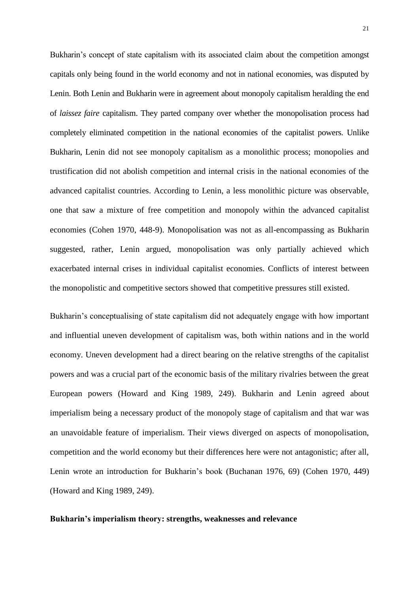Bukharin's concept of state capitalism with its associated claim about the competition amongst capitals only being found in the world economy and not in national economies, was disputed by Lenin. Both Lenin and Bukharin were in agreement about monopoly capitalism heralding the end of *laissez faire* capitalism. They parted company over whether the monopolisation process had completely eliminated competition in the national economies of the capitalist powers. Unlike Bukharin, Lenin did not see monopoly capitalism as a monolithic process; monopolies and trustification did not abolish competition and internal crisis in the national economies of the advanced capitalist countries. According to Lenin, a less monolithic picture was observable, one that saw a mixture of free competition and monopoly within the advanced capitalist economies (Cohen 1970, 448-9). Monopolisation was not as all-encompassing as Bukharin suggested, rather, Lenin argued, monopolisation was only partially achieved which exacerbated internal crises in individual capitalist economies. Conflicts of interest between the monopolistic and competitive sectors showed that competitive pressures still existed.

Bukharin's conceptualising of state capitalism did not adequately engage with how important and influential uneven development of capitalism was, both within nations and in the world economy. Uneven development had a direct bearing on the relative strengths of the capitalist powers and was a crucial part of the economic basis of the military rivalries between the great European powers (Howard and King 1989, 249). Bukharin and Lenin agreed about imperialism being a necessary product of the monopoly stage of capitalism and that war was an unavoidable feature of imperialism. Their views diverged on aspects of monopolisation, competition and the world economy but their differences here were not antagonistic; after all, Lenin wrote an introduction for Bukharin's book (Buchanan 1976, 69) (Cohen 1970, 449) (Howard and King 1989, 249).

## **Bukharin's imperialism theory: strengths, weaknesses and relevance**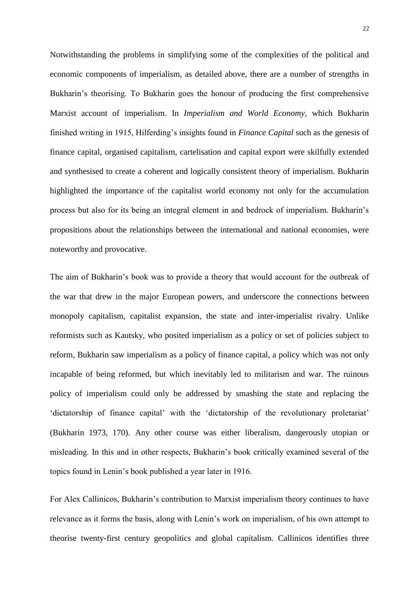Notwithstanding the problems in simplifying some of the complexities of the political and economic components of imperialism, as detailed above, there are a number of strengths in Bukharin's theorising. To Bukharin goes the honour of producing the first comprehensive Marxist account of imperialism. In *Imperialism and World Economy*, which Bukharin finished writing in 1915, Hilferding's insights found in *Finance Capital* such as the genesis of finance capital, organised capitalism, cartelisation and capital export were skilfully extended and synthesised to create a coherent and logically consistent theory of imperialism. Bukharin highlighted the importance of the capitalist world economy not only for the accumulation process but also for its being an integral element in and bedrock of imperialism. Bukharin's propositions about the relationships between the international and national economies, were noteworthy and provocative.

The aim of Bukharin's book was to provide a theory that would account for the outbreak of the war that drew in the major European powers, and underscore the connections between monopoly capitalism, capitalist expansion, the state and inter-imperialist rivalry. Unlike reformists such as Kautsky, who posited imperialism as a policy or set of policies subject to reform, Bukharin saw imperialism as a policy of finance capital, a policy which was not only incapable of being reformed, but which inevitably led to militarism and war. The ruinous policy of imperialism could only be addressed by smashing the state and replacing the 'dictatorship of finance capital' with the 'dictatorship of the revolutionary proletariat' (Bukharin 1973, 170). Any other course was either liberalism, dangerously utopian or misleading. In this and in other respects, Bukharin's book critically examined several of the topics found in Lenin's book published a year later in 1916.

For Alex Callinicos, Bukharin's contribution to Marxist imperialism theory continues to have relevance as it forms the basis, along with Lenin's work on imperialism, of his own attempt to theorise twenty-first century geopolitics and global capitalism. Callinicos identifies three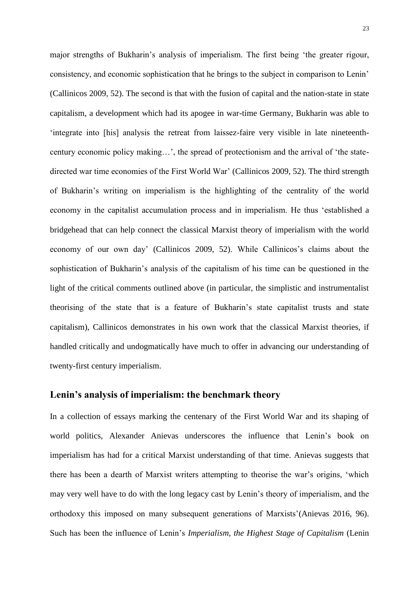major strengths of Bukharin's analysis of imperialism. The first being 'the greater rigour, consistency, and economic sophistication that he brings to the subject in comparison to Lenin' (Callinicos 2009, 52). The second is that with the fusion of capital and the nation-state in state capitalism, a development which had its apogee in war-time Germany, Bukharin was able to 'integrate into [his] analysis the retreat from laissez-faire very visible in late nineteenthcentury economic policy making…', the spread of protectionism and the arrival of 'the statedirected war time economies of the First World War' (Callinicos 2009, 52). The third strength of Bukharin's writing on imperialism is the highlighting of the centrality of the world economy in the capitalist accumulation process and in imperialism. He thus 'established a bridgehead that can help connect the classical Marxist theory of imperialism with the world economy of our own day' (Callinicos 2009, 52). While Callinicos's claims about the sophistication of Bukharin's analysis of the capitalism of his time can be questioned in the light of the critical comments outlined above (in particular, the simplistic and instrumentalist theorising of the state that is a feature of Bukharin's state capitalist trusts and state capitalism), Callinicos demonstrates in his own work that the classical Marxist theories, if handled critically and undogmatically have much to offer in advancing our understanding of twenty-first century imperialism.

## **Lenin's analysis of imperialism: the benchmark theory**

In a collection of essays marking the centenary of the First World War and its shaping of world politics, Alexander Anievas underscores the influence that Lenin's book on imperialism has had for a critical Marxist understanding of that time. Anievas suggests that there has been a dearth of Marxist writers attempting to theorise the war's origins, 'which may very well have to do with the long legacy cast by Lenin's theory of imperialism, and the orthodoxy this imposed on many subsequent generations of Marxists'(Anievas 2016, 96). Such has been the influence of Lenin's *Imperialism, the Highest Stage of Capitalism* (Lenin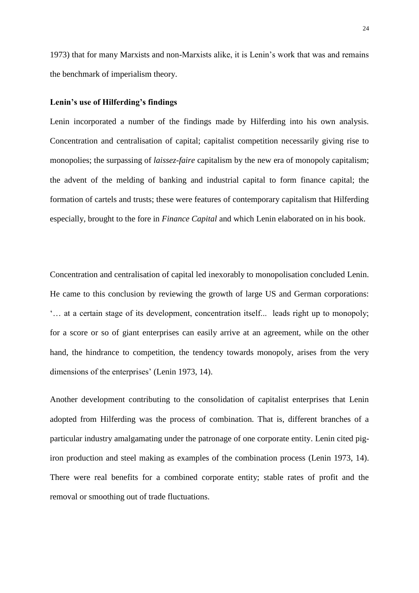1973) that for many Marxists and non-Marxists alike, it is Lenin's work that was and remains the benchmark of imperialism theory.

## **Lenin's use of Hilferding's findings**

Lenin incorporated a number of the findings made by Hilferding into his own analysis. Concentration and centralisation of capital; capitalist competition necessarily giving rise to monopolies; the surpassing of *laissez-faire* capitalism by the new era of monopoly capitalism; the advent of the melding of banking and industrial capital to form finance capital; the formation of cartels and trusts; these were features of contemporary capitalism that Hilferding especially, brought to the fore in *Finance Capital* and which Lenin elaborated on in his book.

Concentration and centralisation of capital led inexorably to monopolisation concluded Lenin. He came to this conclusion by reviewing the growth of large US and German corporations: '… at a certain stage of its development, concentration itself... leads right up to monopoly; for a score or so of giant enterprises can easily arrive at an agreement, while on the other hand, the hindrance to competition, the tendency towards monopoly, arises from the very dimensions of the enterprises' (Lenin 1973, 14).

Another development contributing to the consolidation of capitalist enterprises that Lenin adopted from Hilferding was the process of combination. That is, different branches of a particular industry amalgamating under the patronage of one corporate entity. Lenin cited pigiron production and steel making as examples of the combination process (Lenin 1973, 14). There were real benefits for a combined corporate entity; stable rates of profit and the removal or smoothing out of trade fluctuations.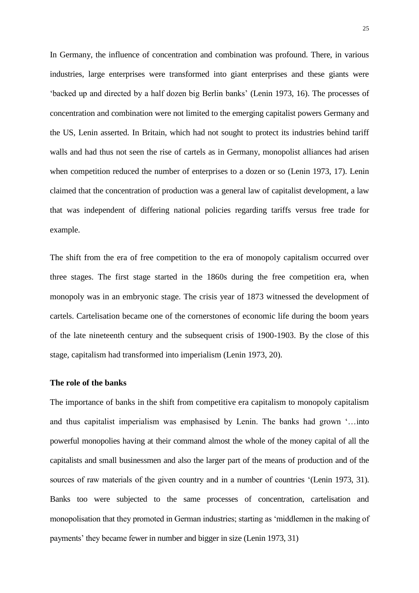In Germany, the influence of concentration and combination was profound. There, in various industries, large enterprises were transformed into giant enterprises and these giants were 'backed up and directed by a half dozen big Berlin banks' (Lenin 1973, 16). The processes of concentration and combination were not limited to the emerging capitalist powers Germany and the US, Lenin asserted. In Britain, which had not sought to protect its industries behind tariff walls and had thus not seen the rise of cartels as in Germany, monopolist alliances had arisen when competition reduced the number of enterprises to a dozen or so (Lenin 1973, 17). Lenin claimed that the concentration of production was a general law of capitalist development, a law that was independent of differing national policies regarding tariffs versus free trade for example.

The shift from the era of free competition to the era of monopoly capitalism occurred over three stages. The first stage started in the 1860s during the free competition era, when monopoly was in an embryonic stage. The crisis year of 1873 witnessed the development of cartels. Cartelisation became one of the cornerstones of economic life during the boom years of the late nineteenth century and the subsequent crisis of 1900-1903. By the close of this stage, capitalism had transformed into imperialism (Lenin 1973, 20).

## **The role of the banks**

The importance of banks in the shift from competitive era capitalism to monopoly capitalism and thus capitalist imperialism was emphasised by Lenin. The banks had grown '…into powerful monopolies having at their command almost the whole of the money capital of all the capitalists and small businessmen and also the larger part of the means of production and of the sources of raw materials of the given country and in a number of countries '(Lenin 1973, 31). Banks too were subjected to the same processes of concentration, cartelisation and monopolisation that they promoted in German industries; starting as 'middlemen in the making of payments' they became fewer in number and bigger in size (Lenin 1973, 31)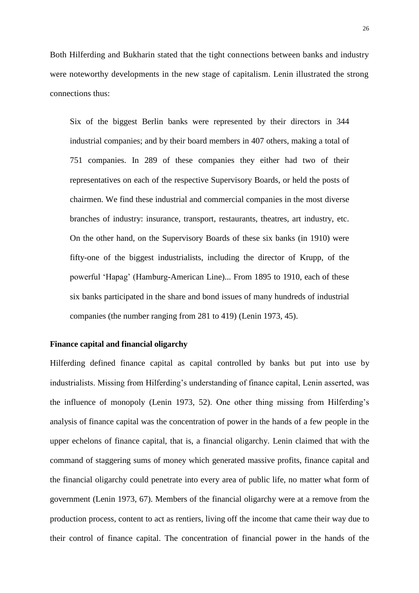Both Hilferding and Bukharin stated that the tight connections between banks and industry were noteworthy developments in the new stage of capitalism. Lenin illustrated the strong connections thus:

Six of the biggest Berlin banks were represented by their directors in 344 industrial companies; and by their board members in 407 others, making a total of 751 companies. In 289 of these companies they either had two of their representatives on each of the respective Supervisory Boards, or held the posts of chairmen. We find these industrial and commercial companies in the most diverse branches of industry: insurance, transport, restaurants, theatres, art industry, etc. On the other hand, on the Supervisory Boards of these six banks (in 1910) were fifty-one of the biggest industrialists, including the director of Krupp, of the powerful 'Hapag' (Hamburg-American Line)... From 1895 to 1910, each of these six banks participated in the share and bond issues of many hundreds of industrial companies (the number ranging from 281 to 419) (Lenin 1973, 45).

## **Finance capital and financial oligarchy**

Hilferding defined finance capital as capital controlled by banks but put into use by industrialists. Missing from Hilferding's understanding of finance capital, Lenin asserted, was the influence of monopoly (Lenin 1973, 52). One other thing missing from Hilferding's analysis of finance capital was the concentration of power in the hands of a few people in the upper echelons of finance capital, that is, a financial oligarchy. Lenin claimed that with the command of staggering sums of money which generated massive profits, finance capital and the financial oligarchy could penetrate into every area of public life, no matter what form of government (Lenin 1973, 67). Members of the financial oligarchy were at a remove from the production process, content to act as rentiers, living off the income that came their way due to their control of finance capital. The concentration of financial power in the hands of the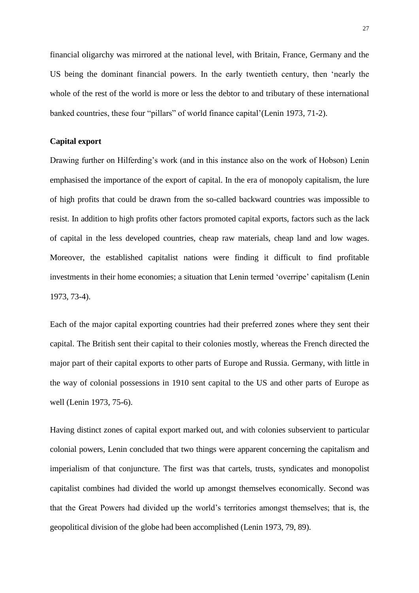financial oligarchy was mirrored at the national level, with Britain, France, Germany and the US being the dominant financial powers. In the early twentieth century, then 'nearly the whole of the rest of the world is more or less the debtor to and tributary of these international banked countries, these four "pillars" of world finance capital'(Lenin 1973, 71-2).

#### **Capital export**

Drawing further on Hilferding's work (and in this instance also on the work of Hobson) Lenin emphasised the importance of the export of capital. In the era of monopoly capitalism, the lure of high profits that could be drawn from the so-called backward countries was impossible to resist. In addition to high profits other factors promoted capital exports, factors such as the lack of capital in the less developed countries, cheap raw materials, cheap land and low wages. Moreover, the established capitalist nations were finding it difficult to find profitable investments in their home economies; a situation that Lenin termed 'overripe' capitalism (Lenin 1973, 73-4).

Each of the major capital exporting countries had their preferred zones where they sent their capital. The British sent their capital to their colonies mostly, whereas the French directed the major part of their capital exports to other parts of Europe and Russia. Germany, with little in the way of colonial possessions in 1910 sent capital to the US and other parts of Europe as well (Lenin 1973, 75-6).

Having distinct zones of capital export marked out, and with colonies subservient to particular colonial powers, Lenin concluded that two things were apparent concerning the capitalism and imperialism of that conjuncture. The first was that cartels, trusts, syndicates and monopolist capitalist combines had divided the world up amongst themselves economically. Second was that the Great Powers had divided up the world's territories amongst themselves; that is, the geopolitical division of the globe had been accomplished (Lenin 1973, 79, 89).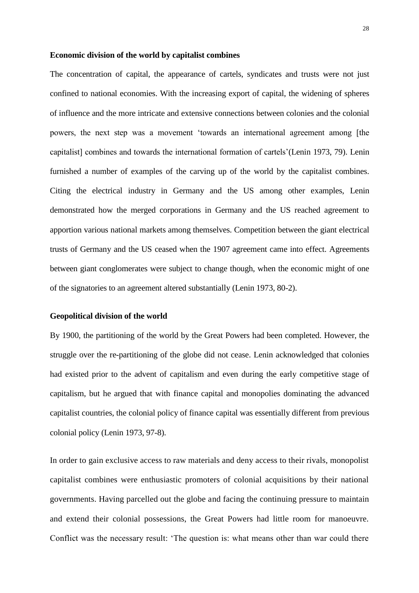#### **Economic division of the world by capitalist combines**

The concentration of capital, the appearance of cartels, syndicates and trusts were not just confined to national economies. With the increasing export of capital, the widening of spheres of influence and the more intricate and extensive connections between colonies and the colonial powers, the next step was a movement 'towards an international agreement among [the capitalist] combines and towards the international formation of cartels'(Lenin 1973, 79). Lenin furnished a number of examples of the carving up of the world by the capitalist combines. Citing the electrical industry in Germany and the US among other examples, Lenin demonstrated how the merged corporations in Germany and the US reached agreement to apportion various national markets among themselves. Competition between the giant electrical trusts of Germany and the US ceased when the 1907 agreement came into effect. Agreements between giant conglomerates were subject to change though, when the economic might of one of the signatories to an agreement altered substantially (Lenin 1973, 80-2).

#### **Geopolitical division of the world**

By 1900, the partitioning of the world by the Great Powers had been completed. However, the struggle over the re-partitioning of the globe did not cease. Lenin acknowledged that colonies had existed prior to the advent of capitalism and even during the early competitive stage of capitalism, but he argued that with finance capital and monopolies dominating the advanced capitalist countries, the colonial policy of finance capital was essentially different from previous colonial policy (Lenin 1973, 97-8).

In order to gain exclusive access to raw materials and deny access to their rivals, monopolist capitalist combines were enthusiastic promoters of colonial acquisitions by their national governments. Having parcelled out the globe and facing the continuing pressure to maintain and extend their colonial possessions, the Great Powers had little room for manoeuvre. Conflict was the necessary result: 'The question is: what means other than war could there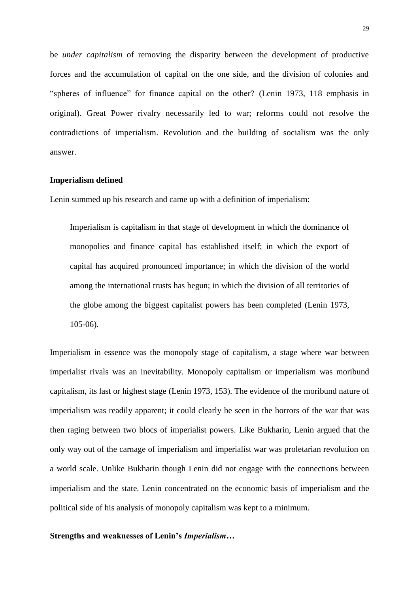be *under capitalism* of removing the disparity between the development of productive forces and the accumulation of capital on the one side, and the division of colonies and "spheres of influence" for finance capital on the other? (Lenin 1973, 118 emphasis in original). Great Power rivalry necessarily led to war; reforms could not resolve the contradictions of imperialism. Revolution and the building of socialism was the only answer.

#### **Imperialism defined**

Lenin summed up his research and came up with a definition of imperialism:

Imperialism is capitalism in that stage of development in which the dominance of monopolies and finance capital has established itself; in which the export of capital has acquired pronounced importance; in which the division of the world among the international trusts has begun; in which the division of all territories of the globe among the biggest capitalist powers has been completed (Lenin 1973, 105-06).

Imperialism in essence was the monopoly stage of capitalism, a stage where war between imperialist rivals was an inevitability. Monopoly capitalism or imperialism was moribund capitalism, its last or highest stage (Lenin 1973, 153). The evidence of the moribund nature of imperialism was readily apparent; it could clearly be seen in the horrors of the war that was then raging between two blocs of imperialist powers. Like Bukharin, Lenin argued that the only way out of the carnage of imperialism and imperialist war was proletarian revolution on a world scale. Unlike Bukharin though Lenin did not engage with the connections between imperialism and the state. Lenin concentrated on the economic basis of imperialism and the political side of his analysis of monopoly capitalism was kept to a minimum.

## **Strengths and weaknesses of Lenin's** *Imperialism…*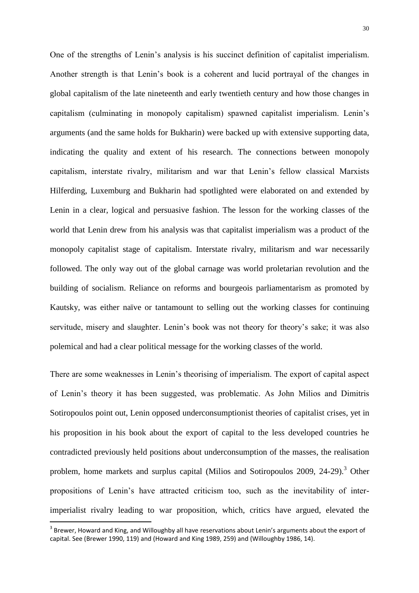One of the strengths of Lenin's analysis is his succinct definition of capitalist imperialism. Another strength is that Lenin's book is a coherent and lucid portrayal of the changes in global capitalism of the late nineteenth and early twentieth century and how those changes in capitalism (culminating in monopoly capitalism) spawned capitalist imperialism. Lenin's arguments (and the same holds for Bukharin) were backed up with extensive supporting data, indicating the quality and extent of his research. The connections between monopoly capitalism, interstate rivalry, militarism and war that Lenin's fellow classical Marxists Hilferding, Luxemburg and Bukharin had spotlighted were elaborated on and extended by Lenin in a clear, logical and persuasive fashion. The lesson for the working classes of the world that Lenin drew from his analysis was that capitalist imperialism was a product of the monopoly capitalist stage of capitalism. Interstate rivalry, militarism and war necessarily followed. The only way out of the global carnage was world proletarian revolution and the building of socialism. Reliance on reforms and bourgeois parliamentarism as promoted by Kautsky, was either naïve or tantamount to selling out the working classes for continuing servitude, misery and slaughter. Lenin's book was not theory for theory's sake; it was also polemical and had a clear political message for the working classes of the world.

There are some weaknesses in Lenin's theorising of imperialism. The export of capital aspect of Lenin's theory it has been suggested, was problematic. As John Milios and Dimitris Sotiropoulos point out, Lenin opposed underconsumptionist theories of capitalist crises, yet in his proposition in his book about the export of capital to the less developed countries he contradicted previously held positions about underconsumption of the masses, the realisation problem, home markets and surplus capital (Milios and Sotiropoulos 2009, 24-29).<sup>3</sup> Other propositions of Lenin's have attracted criticism too, such as the inevitability of interimperialist rivalry leading to war proposition, which, critics have argued, elevated the

 $\overline{a}$ 

 $^3$  Brewer, Howard and King, and Willoughby all have reservations about Lenin's arguments about the export of capital. See (Brewer 1990, 119) and (Howard and King 1989, 259) and (Willoughby 1986, 14).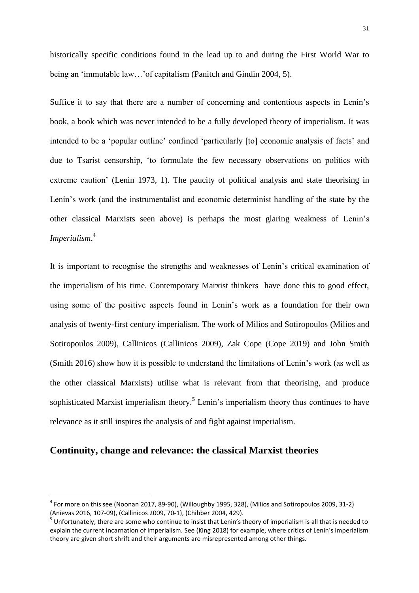historically specific conditions found in the lead up to and during the First World War to being an 'immutable law…'of capitalism (Panitch and Gindin 2004, 5).

Suffice it to say that there are a number of concerning and contentious aspects in Lenin's book, a book which was never intended to be a fully developed theory of imperialism. It was intended to be a 'popular outline' confined 'particularly [to] economic analysis of facts' and due to Tsarist censorship, 'to formulate the few necessary observations on politics with extreme caution' (Lenin 1973, 1). The paucity of political analysis and state theorising in Lenin's work (and the instrumentalist and economic determinist handling of the state by the other classical Marxists seen above) is perhaps the most glaring weakness of Lenin's *Imperialism*. 4

It is important to recognise the strengths and weaknesses of Lenin's critical examination of the imperialism of his time. Contemporary Marxist thinkers have done this to good effect, using some of the positive aspects found in Lenin's work as a foundation for their own analysis of twenty-first century imperialism. The work of Milios and Sotiropoulos (Milios and Sotiropoulos 2009), Callinicos (Callinicos 2009), Zak Cope (Cope 2019) and John Smith (Smith 2016) show how it is possible to understand the limitations of Lenin's work (as well as the other classical Marxists) utilise what is relevant from that theorising, and produce sophisticated Marxist imperialism theory.<sup>5</sup> Lenin's imperialism theory thus continues to have relevance as it still inspires the analysis of and fight against imperialism.

# **Continuity, change and relevance: the classical Marxist theories**

 $\overline{a}$ 

 $^4$  For more on this see (Noonan 2017, 89-90), (Willoughby 1995, 328), (Milios and Sotiropoulos 2009, 31-2) (Anievas 2016, 107-09), (Callinicos 2009, 70-1), (Chibber 2004, 429).

 $<sup>5</sup>$  Unfortunately, there are some who continue to insist that Lenin's theory of imperialism is all that is needed to</sup> explain the current incarnation of imperialism. See (King 2018) for example, where critics of Lenin's imperialism theory are given short shrift and their arguments are misrepresented among other things.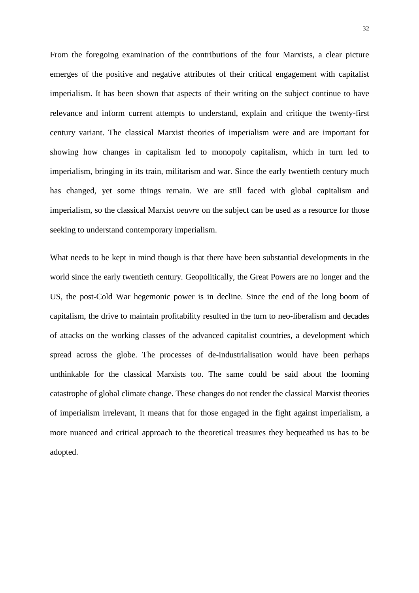From the foregoing examination of the contributions of the four Marxists, a clear picture emerges of the positive and negative attributes of their critical engagement with capitalist imperialism. It has been shown that aspects of their writing on the subject continue to have relevance and inform current attempts to understand, explain and critique the twenty-first century variant. The classical Marxist theories of imperialism were and are important for showing how changes in capitalism led to monopoly capitalism, which in turn led to imperialism, bringing in its train, militarism and war. Since the early twentieth century much has changed, yet some things remain. We are still faced with global capitalism and imperialism, so the classical Marxist *oeuvre* on the subject can be used as a resource for those seeking to understand contemporary imperialism.

What needs to be kept in mind though is that there have been substantial developments in the world since the early twentieth century. Geopolitically, the Great Powers are no longer and the US, the post-Cold War hegemonic power is in decline. Since the end of the long boom of capitalism, the drive to maintain profitability resulted in the turn to neo-liberalism and decades of attacks on the working classes of the advanced capitalist countries, a development which spread across the globe. The processes of de-industrialisation would have been perhaps unthinkable for the classical Marxists too. The same could be said about the looming catastrophe of global climate change. These changes do not render the classical Marxist theories of imperialism irrelevant, it means that for those engaged in the fight against imperialism, a more nuanced and critical approach to the theoretical treasures they bequeathed us has to be adopted.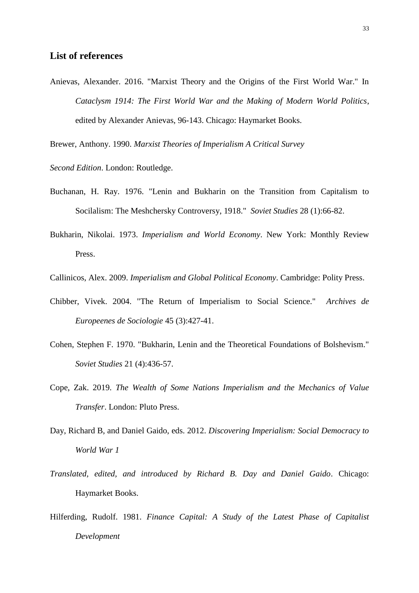# **List of references**

Anievas, Alexander. 2016. "Marxist Theory and the Origins of the First World War." In *Cataclysm 1914: The First World War and the Making of Modern World Politics*, edited by Alexander Anievas, 96-143. Chicago: Haymarket Books.

Brewer, Anthony. 1990. *Marxist Theories of Imperialism A Critical Survey*

*Second Edition*. London: Routledge.

- Buchanan, H. Ray. 1976. "Lenin and Bukharin on the Transition from Capitalism to Socilalism: The Meshchersky Controversy, 1918." *Soviet Studies* 28 (1):66-82.
- Bukharin, Nikolai. 1973. *Imperialism and World Economy*. New York: Monthly Review Press.
- Callinicos, Alex. 2009. *Imperialism and Global Political Economy*. Cambridge: Polity Press.
- Chibber, Vivek. 2004. "The Return of Imperialism to Social Science." *Archives de Europeenes de Sociologie* 45 (3):427-41.
- Cohen, Stephen F. 1970. "Bukharin, Lenin and the Theoretical Foundations of Bolshevism." *Soviet Studies* 21 (4):436-57.
- Cope, Zak. 2019. *The Wealth of Some Nations Imperialism and the Mechanics of Value Transfer*. London: Pluto Press.
- Day, Richard B, and Daniel Gaido, eds. 2012. *Discovering Imperialism: Social Democracy to World War 1*
- *Translated, edited, and introduced by Richard B. Day and Daniel Gaido*. Chicago: Haymarket Books.
- Hilferding, Rudolf. 1981. *Finance Capital: A Study of the Latest Phase of Capitalist Development*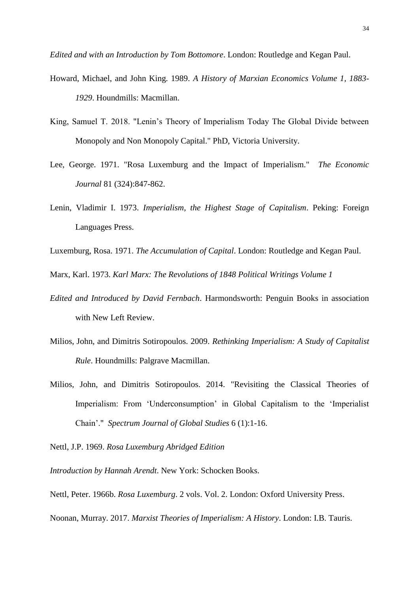*Edited and with an Introduction by Tom Bottomore*. London: Routledge and Kegan Paul.

- Howard, Michael, and John King. 1989. *A History of Marxian Economics Volume 1, 1883- 1929*. Houndmills: Macmillan.
- King, Samuel T. 2018. "Lenin's Theory of Imperialism Today The Global Divide between Monopoly and Non Monopoly Capital." PhD, Victoria University.
- Lee, George. 1971. "Rosa Luxemburg and the Impact of Imperialism." *The Economic Journal* 81 (324):847-862.
- Lenin, Vladimir I. 1973. *Imperialism, the Highest Stage of Capitalism*. Peking: Foreign Languages Press.
- Luxemburg, Rosa. 1971. *The Accumulation of Capital*. London: Routledge and Kegan Paul.

Marx, Karl. 1973. *Karl Marx: The Revolutions of 1848 Political Writings Volume 1*

- *Edited and Introduced by David Fernbach*. Harmondsworth: Penguin Books in association with New Left Review.
- Milios, John, and Dimitris Sotiropoulos. 2009. *Rethinking Imperialism: A Study of Capitalist Rule*. Houndmills: Palgrave Macmillan.
- Milios, John, and Dimitris Sotiropoulos. 2014. "Revisiting the Classical Theories of Imperialism: From 'Underconsumption' in Global Capitalism to the 'Imperialist Chain'." *Spectrum Journal of Global Studies* 6 (1):1-16.

Nettl, J.P. 1969. *Rosa Luxemburg Abridged Edition*

*Introduction by Hannah Arendt*. New York: Schocken Books.

Nettl, Peter. 1966b. *Rosa Luxemburg*. 2 vols. Vol. 2. London: Oxford University Press. Noonan, Murray. 2017. *Marxist Theories of Imperialism: A History*. London: I.B. Tauris.